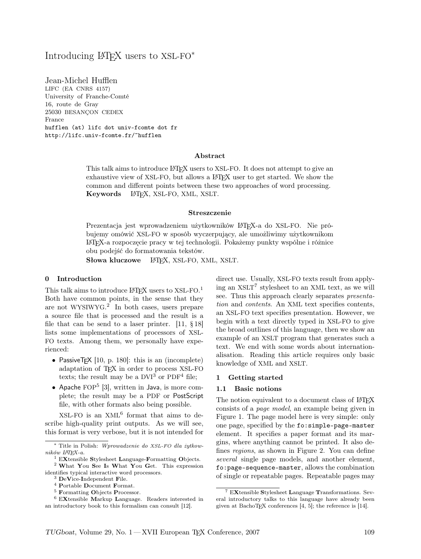# Introducing LATEX users to  $XSL-FO^*$

Jean-Michel Hufflen LIFC (EA CNRS 4157) University of Franche-Comté 16, route de Gray 25030 BESANÇON CEDEX France hufflen (at) lifc dot univ-fcomte dot fr http://lifc.univ-fcomte.fr/~hufflen

#### Abstract

This talk aims to introduce LATEX users to XSL-FO. It does not attempt to give an exhaustive view of XSL-FO, but allows a LAT<sub>EX</sub> user to get started. We show the common and different points between these two approaches of word processing. Keywords L<sup>AT</sup>FX, XSL-FO, XML, XSLT.

#### Streszczenie

Prezentacja jest wprowadzeniem użytkowników LATEX-a do XSL-FO. Nie próbujemy omówić XSL-FO w sposób wyczerpujący, ale umożliwimy użytkownikom LATEX-a rozpoczęcie pracy w tej technologii. Pokażemy punkty wspólne i różnice obu podejść do formatowania tekstów.

Słowa kluczowe LATEX, XSL-FO, XML, XSLT.

#### 0 Introduction

This talk aims to introduce  $L^{A}T_{E}X$  users to XSL-FO.<sup>1</sup> Both have common points, in the sense that they are not WYSIWYG. 2 In both cases, users prepare a source file that is processed and the result is a file that can be send to a laser printer.  $[11, §18]$ lists some implementations of processors of XSL-FO texts. Among them, we personally have experienced:

- PassiveTEX  $[10, p. 180]$ : this is an (incomplete) adaptation of TEX in order to process XSL-FO texts; the result may be a  $DVI^3$  or  $PDF^4$  file;
- Apache  $FOP<sup>5</sup>$  [3], written in Java, is more complete; the result may be a PDF or PostScript file, with other formats also being possible.

 $XSL-FO$  is an  $XML<sup>6</sup>$  format that aims to describe high-quality print outputs. As we will see, this format is very verbose, but it is not intended for direct use. Usually, XSL-FO texts result from applying an XSLT<sup>7</sup> stylesheet to an XML text, as we will see. Thus this approach clearly separates presentation and contents. An XML text specifies contents, an XSL-FO text specifies presentation. However, we begin with a text directly typed in XSL-FO to give the broad outlines of this language, then we show an example of an XSLT program that generates such a text. We end with some words about internationalisation. Reading this article requires only basic knowledge of XML and XSLT.

#### 1 Getting started

#### 1.1 Basic notions

The notion equivalent to a document class of LATEX consists of a page model, an example being given in Figure 1. The page model here is very simple: only one page, specified by the fo:simple-page-master element. It specifies a paper format and its margins, where anything cannot be printed. It also defines regions, as shown in Figure 2. You can define several single page models, and another element, fo:page-sequence-master, allows the combination of single or repeatable pages. Repeatable pages may

<sup>∗</sup> Title in Polish: Wprowadzenie do XSL-FO dla żytkowników LATEX-a.

 $1$  EXtensible Stylesheet Language-Formatting Objects.

<sup>2</sup> What You See Is What You Get. This expression identifies typical interactive word processors.

<sup>3</sup> DeVice-Independent File.

<sup>4</sup> Portable Document Format.

<sup>5</sup> Formatting Objects Processor.

<sup>6</sup> EXtensible Markup Language. Readers interested in an introductory book to this formalism can consult [12].

<sup>7</sup> EXtensible Stylesheet Language Transformations. Several introductory talks to this language have already been given at BachoTEX conferences  $[4, 5]$ ; the reference is  $[14]$ .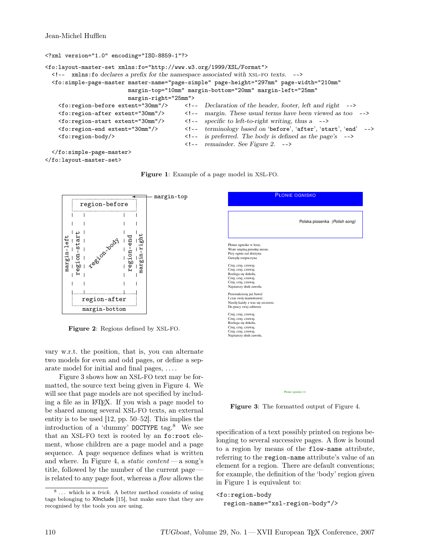Jean-Michel Hufflen

```
<?xml version="1.0" encoding="ISO-8859-1"?>
<fo:layout-master-set xmlns:fo="http://www.w3.org/1999/XSL/Format">
  <!-- xmlns:fo declares a prefix for the namespace associated with xsl-fo texts. -->
 <fo:simple-page-master master-name="page-simple" page-height="297mm" page-width="210mm"
                         margin-top="10mm" margin-bottom="20mm" margin-left="25mm"
                         margin-right="25mm">
   \leq fo: region-before extent="30mm"/> \leq !-- Declaration of the header, footer, left and right -->
   <fo:region-after extent="30mm"/> <!-- margin. These usual terms have been viewed as too -->
   <fo:region-start extent="30mm"/> <!-- specific to left-to-right writing, thus a -->
   <fo:region-end extent="30mm"/> <!-- terminology based on 'before', 'after', 'start', 'end' -->
   <fo:region-body/> <!-- is preferred. The body is defined as the page's -->
                                          <!-- remainder. See Figure 2. -->
  </fo:simple-page-master>
```
Figure 1: Example of a page model in XSL-FO.

```
</fo:layout-master-set>
```


Figure 2: Regions defined by XSL-FO.

vary w.r.t. the position, that is, you can alternate two models for even and odd pages, or define a separate model for initial and final pages, . . . .

Figure 3 shows how an XSL-FO text may be formatted, the source text being given in Figure 4. We will see that page models are not specified by including a file as in LATEX. If you wish a page model to be shared among several XSL-FO texts, an external entity is to be used [12, pp. 50–52]. This implies the introduction of a 'dummy' DOCTYPE tag. $8$  We see that an XSL-FO text is rooted by an fo:root element, whose children are a page model and a page sequence. A page sequence defines what is written and where. In Figure 4, a *static content* — a song's title, followed by the number of the current page is related to any page foot, whereas a flow allows the



Figure 3: The formatted output of Figure 4.

specification of a text possibly printed on regions belonging to several successive pages. A flow is bound to a region by means of the flow-name attribute, referring to the region-name attribute's value of an element for a region. There are default conventions; for example, the definition of the 'body' region given in Figure 1 is equivalent to:

```
<fo:region-body
  region-name="xsl-region-body"/>
```
<sup>&</sup>lt;sup>8</sup> ... which is a *trick*. A better method consists of using tags belonging to XInclude [15], but make sure that they are recognised by the tools you are using.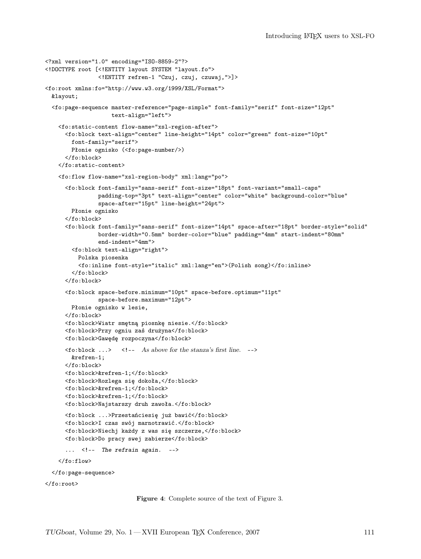```
<?xml version="1.0" encoding="ISO-8859-2"?>
<!DOCTYPE root [<!ENTITY layout SYSTEM "layout.fo">
                <!ENTITY refren-1 "Czuj, czuj, czuwaj,">]>
<fo:root xmlns:fo="http://www.w3.org/1999/XSL/Format">
 &layout;
  <fo:page-sequence master-reference="page-simple" font-family="serif" font-size="12pt"
                    text-align="left">
   <fo:static-content flow-name="xsl-region-after">
     <fo:block text-align="center" line-height="14pt" color="green" font-size="10pt"
       font-family="serif">
       Płonie ognisko (<fo:page-number/>)
      </fo:block>
   </fo:static-content>
   <fo:flow flow-name="xsl-region-body" xml:lang="po">
      <fo:block font-family="sans-serif" font-size="18pt" font-variant="small-caps"
                padding-top="3pt" text-align="center" color="white" background-color="blue"
                space-after="15pt" line-height="24pt">
       Płonie ognisko
      </fo:block>
      <fo:block font-family="sans-serif" font-size="14pt" space-after="18pt" border-style="solid"
                border-width="0.5mm" border-color="blue" padding="4mm" start-indent="80mm"
                end-indent="4mm">
        <fo:block text-align="right">
         Polska piosenka
         <fo:inline font-style="italic" xml:lang="en">(Polish song)</fo:inline>
        </fo:block>
      </fo:block>
      <fo:block space-before.minimum="10pt" space-before.optimum="11pt"
               space-before.maximum="12pt">
       Płonie ognisko w lesie,
      </fo:block>
      <fo:block>Wiatr smętną piosnkę niesie.</fo:block>
      <fo:block>Przy ogniu zaś drużyna</fo:block>
      <fo:block>Gawędę rozpoczyna</fo:block>
     \langlefo:block ...> \langle!-- As above for the stanza's first line. -->
       &refren-1;
      </fo:block>
      <fo:block>&refren-1;</fo:block>
      <fo:block>Rozlega się dokoła,</fo:block>
      <fo:block>&refren-1;</fo:block>
      <fo:block>&refren-1;</fo:block>
      <fo:block>Najstarszy druh zawoła.</fo:block>
      <fo:block ...>Przestańciesię już bawić</fo:block>
      <fo:block>I czas swój marnotrawić.</fo:block>
      <fo:block>Niechj każdy z was się szczerze,</fo:block>
      <fo:block>Do pracy swej zabierze</fo:block>
      ... <!-- The refrain again. -->
    \langle /fo:flow>
 </fo:page-sequence>
</fo:root>
```
Figure 4: Complete source of the text of Figure 3.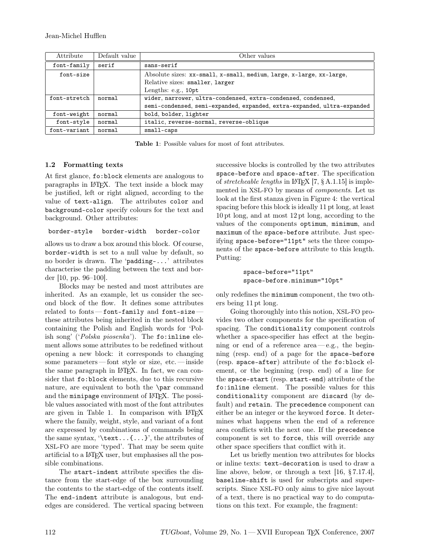| Attribute     | Default value | Other values                                                                                                                             |
|---------------|---------------|------------------------------------------------------------------------------------------------------------------------------------------|
| $font-family$ | serif         | sans-serif                                                                                                                               |
| font-size     |               | Absolute sizes: xx-small, x-small, medium, large, x-large, xx-large,<br>Relative sizes: smaller, larger<br>Lengths: e.g., 10pt           |
| font-stretch  | normal        | wider, narrower, ultra-condensed, extra-condensed, condensed,<br>semi-condensed, semi-expanded, expanded, extra-expanded, ultra-expanded |
| font-weight   | normal        | bold, bolder, lighter                                                                                                                    |
| font-style    | normal        | italic, reverse-normal, reverse-oblique                                                                                                  |
| font-variant  | normal        | small-caps                                                                                                                               |

Table 1: Possible values for most of font attributes.

# 1.2 Formatting texts

At first glance, fo:block elements are analogous to paragraphs in LATEX. The text inside a block may be justified, left or right aligned, according to the value of text-align. The attributes color and background-color specify colours for the text and background. Other attributes:

```
border-style border-width border-color
```
allows us to draw a box around this block. Of course, border-width is set to a null value by default, so no border is drawn. The 'padding-...' attributes characterise the padding between the text and border [10, pp. 96–100].

Blocks may be nested and most attributes are inherited. As an example, let us consider the second block of the flow. It defines some attributes related to fonts — font-family and font-size these attributes being inherited in the nested block containing the Polish and English words for 'Polish song' (' $Polska\,\,piosenka$ '). The fo:inline element allows some attributes to be redefined without opening a new block: it corresponds to changing some parameters — font style or size, etc. — inside the same paragraph in LATEX. In fact, we can consider that fo:block elements, due to this recursive nature, are equivalent to both the \par command and the minipage environment of IATFX. The possible values associated with most of the font attributes are given in Table 1. In comparison with LATFX where the family, weight, style, and variant of a font are expressed by combinations of commands being the same syntax, '\text...{...}', the attributes of XSL-FO are more 'typed'. That may be seem quite artificial to a L<sup>AT</sup>FX user, but emphasises all the possible combinations.

The start-indent attribute specifies the distance from the start-edge of the box surrounding the contents to the start-edge of the contents itself. The end-indent attribute is analogous, but endedges are considered. The vertical spacing between successive blocks is controlled by the two attributes space-before and space-after. The specification of stretcheable lengths in LAT<sub>E</sub>X  $[7, § A.1.15]$  is implemented in XSL-FO by means of components. Let us look at the first stanza given in Figure 4: the vertical spacing before this block is ideally 11 pt long, at least 10 pt long, and at most 12 pt long, according to the values of the components optimum, minimum, and maximum of the space-before attribute. Just specifying space-before="11pt" sets the three components of the space-before attribute to this length. Putting:

```
space-before="11pt"
space-before.minimum="10pt"
```
only redefines the minimum component, the two others being 11 pt long.

Going thoroughly into this notion, XSL-FO provides two other components for the specification of spacing. The conditionality component controls whether a space-specifier has effect at the beginning or end of a reference area— e.g., the beginning (resp. end) of a page for the space-before (resp. space-after) attribute of the fo:block element, or the beginning (resp. end) of a line for the space-start (resp. start-end) attribute of the fo:inline element. The possible values for this conditionality component are discard (by default) and retain. The precedence component can either be an integer or the keyword force. It determines what happens when the end of a reference area conflicts with the next one. If the precedence component is set to force, this will override any other space specifiers that conflict with it.

Let us briefly mention two attributes for blocks or inline texts: text-decoration is used to draw a line above, below, or through a text [16, § 7.17.4], baseline-shift is used for subscripts and superscripts. Since XSL-FO only aims to give nice layout of a text, there is no practical way to do computations on this text. For example, the fragment: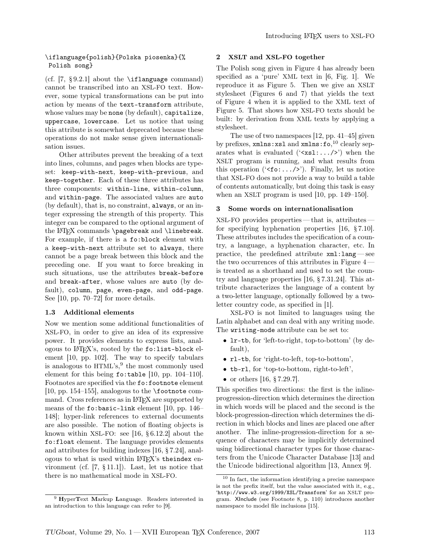### \iflanguage{polish}{Polska piosenka}{% Polish song}

(cf.  $|7, \S 9.2.1|$  about the **\iflanguage** command) cannot be transcribed into an XSL-FO text. However, some typical transformations can be put into action by means of the text-transform attribute, whose values may be none (by default), capitalize, uppercase, lowercase. Let us notice that using this attribute is somewhat deprecated because these operations do not make sense given internationalisation issues.

Other attributes prevent the breaking of a text into lines, columns, and pages when blocks are typeset: keep-with-next, keep-with-previous, and keep-together. Each of these three attributes has three components: within-line, within-column, and within-page. The associated values are auto (by default), that is, no constraint, always, or an integer expressing the strength of this property. This integer can be compared to the optional argument of the LAT<sub>F</sub>X commands \pagebreak and \linebreak. For example, if there is a fo:block element with a keep-with-next attribute set to always, there cannot be a page break between this block and the preceding one. If you want to force breaking in such situations, use the attributes break-before and break-after, whose values are auto (by default), column, page, even-page, and odd-page. See [10, pp. 70–72] for more details.

# 1.3 Additional elements

Now we mention some additional functionalities of XSL-FO, in order to give an idea of its expressive power. It provides elements to express lists, analogous to LATEX's, rooted by the fo:list-block element [10, pp. 102]. The way to specify tabulars is analogous to HTML's,<sup>9</sup> the most commonly used element for this being  $f \circ : \text{table}$  [10, pp. 104-110]. Footnotes are specified via the fo:footnote element [10, pp. 154–155], analogous to the  $\cdot$  footnote command. Cross references as in L<sup>AT</sup>FX are supported by means of the fo:basic-link element [10, pp. 146– 148]; hyper-link references to external documents are also possible. The notion of floating objects is known within XSL-FO: see [16, § 6.12.2] about the fo:float element. The language provides elements and attributes for building indexes [16, § 7.24], analogous to what is used within LATEX's theindex environment (cf. [7, § 11.1]). Last, let us notice that there is no mathematical mode in XSL-FO.

### 2 XSLT and XSL-FO together

The Polish song given in Figure 4 has already been specified as a 'pure' XML text in [6, Fig. 1]. We reproduce it as Figure 5. Then we give an XSLT stylesheet (Figures 6 and 7) that yields the text of Figure 4 when it is applied to the XML text of Figure 5. That shows how XSL-FO texts should be built: by derivation from XML texts by applying a stylesheet.

The use of two namespaces [12, pp. 41–45] given by prefixes, xmlns:xsl and xmlns:fo,<sup>10</sup> clearly separates what is evaluated  $({\langle x_{\rm s1}: \ldots \rangle}^{\circ})$  when the XSLT program is running, and what results from this operation  $({\text{`. Finally, let us notice$ that XSL-FO does not provide a way to build a table of contents automatically, but doing this task is easy when an XSLT program is used [10, pp. 149–150].

#### 3 Some words on internationalisation

XSL-FO provides properties — that is, attributes for specifying hyphenation properties [16, § 7.10]. These attributes includes the specification of a country, a language, a hyphenation character, etc. In practice, the predefined attribute xml:lang — see the two occurrences of this attributes in Figure 4 is treated as a shorthand and used to set the country and language properties [16, § 7.31.24]. This attribute characterizes the language of a content by a two-letter language, optionally followed by a twoletter country code, as specified in [1].

XSL-FO is not limited to languages using the Latin alphabet and can deal with any writing mode. The writing-mode attribute can be set to:

- lr-tb, for 'left-to-right, top-to-bottom' (by default),
- rl-tb, for 'right-to-left, top-to-bottom',
- tb-rl, for 'top-to-bottom, right-to-left',
- or others [16, § 7.29.7].

This specifies two directions: the first is the inlineprogression-direction which determines the direction in which words will be placed and the second is the block-progression-direction which determines the direction in which blocks and lines are placed one after another. The inline-progression-direction for a sequence of characters may be implicitly determined using bidirectional character types for those characters from the Unicode Character Database [13] and the Unicode bidirectional algorithm [13, Annex 9].

<sup>&</sup>lt;sup>9</sup> HyperText Markup Language. Readers interested in an introduction to this language can refer to [9].

<sup>10</sup> In fact, the information identifying a precise namespace is not the prefix itself, but the value associated with it, e.g., 'http://www.w3.org/1999/XSL/Transform' for an XSLT program. XInclude (see Footnote 8, p. 110) introduces another namespace to model file inclusions [15].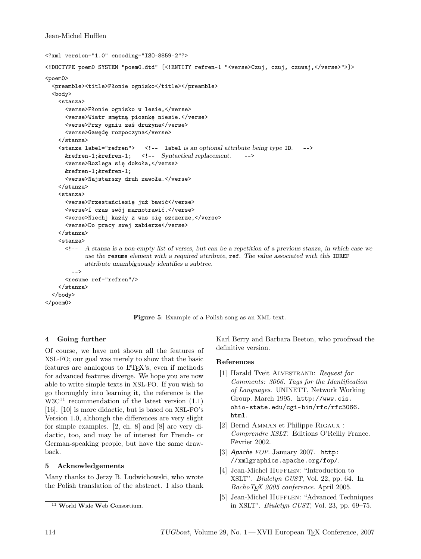# Jean-Michel Hufflen

```
<?xml version="1.0" encoding="ISO-8859-2"?>
<!DOCTYPE poem0 SYSTEM "poem0.dtd" [<!ENTITY refren-1 "<verse>Czuj, czuj, czuwaj,</verse>">]>
<poem0>
  <preamble><title>Płonie ognisko</title></preamble>
  <body>
    <stanza>
      <verse>Płonie ognisko w lesie,</verse>
      <verse>Wiatr smętną piosnkę niesie.</verse>
      <verse>Przy ogniu zaś drużyna</verse>
      <verse>Gawędę rozpoczyna</verse>
    </stanza>
    <stanza label="refren"> <!-- label is an optional attribute being type ID. -->
      &refren-1;&refren-1; <!-- Syntactical replacement. -->
      <verse>Rozlega się dokoła,</verse>
      &refren-1;&refren-1;
      <verse>Najstarszy druh zawoła.</verse>
    </stanza>
    <stanza>
      <verse>Przestańciesię już bawić</verse>
      <verse>I czas swój marnotrawić.</verse>
      <verse>Niechj każdy z was się szczerze,</verse>
      <verse>Do pracy swej zabierze</verse>
    </stanza>
    <stanza>
      <!-- A stanza is a non-empty list of verses, but can be a repetition of a previous stanza, in which case we
            use the resume element with a required attribute, ref. The value associated with this IDREF
            attribute unambiguously identifies a subtree.
        -->
      <resume ref="refren"/>
    </stanza>
  </body>
</poem0>
```
Figure 5: Example of a Polish song as an XML text.

# 4 Going further

Of course, we have not shown all the features of XSL-FO; our goal was merely to show that the basic features are analogous to LATEX's, even if methods for advanced features diverge. We hope you are now able to write simple texts in XSL-FO. If you wish to go thoroughly into learning it, the reference is the  $W3C<sup>11</sup>$  recommendation of the latest version  $(1.1)$ [16]. [10] is more didactic, but is based on XSL-FO's Version 1.0, although the differences are very slight for simple examples. [2, ch. 8] and [8] are very didactic, too, and may be of interest for French- or German-speaking people, but have the same drawback.

# 5 Acknowledgements

Many thanks to Jerzy B. Ludwichowski, who wrote the Polish translation of the abstract. I also thank Karl Berry and Barbara Beeton, who proofread the definitive version.

# References

- [1] Harald Tveit ALVESTRAND: Request for Comments: 3066. Tags for the Identification of Languages. UNINETT, Network Working Group. March 1995. http://www.cis. ohio-state.edu/cgi-bin/rfc/rfc3066. html.
- [2] Bernd Amman et Philippe Rigaux : Comprendre XSLT. Éditions O'Reilly France. Février 2002.
- [3] Apache FOP. January 2007. http: //xmlgraphics.apache.org/fop/.
- [4] Jean-Michel HUFFLEN: "Introduction to XSLT". Biuletyn GUST, Vol. 22, pp. 64. In BachoTEX 2005 conference. April 2005.
- [5] Jean-Michel HUFFLEN: "Advanced Techniques in XSLT". Biuletyn GUST, Vol. 23, pp. 69–75.

<sup>11</sup> World Wide Web Consortium.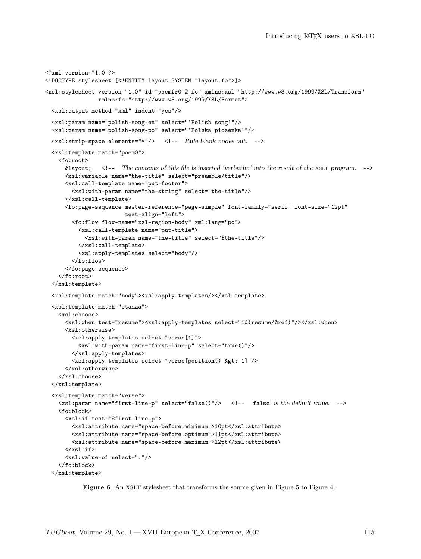```
<?xml version="1.0"?>
<!DOCTYPE stylesheet [<!ENTITY layout SYSTEM "layout.fo">]>
<xsl:stylesheet version="1.0" id="poemfr0-2-fo" xmlns:xsl="http://www.w3.org/1999/XSL/Transform"
                xmlns:fo="http://www.w3.org/1999/XSL/Format">
 <xsl:output method="xml" indent="yes"/>
  <xsl:param name="polish-song-en" select="'Polish song'"/>
 <xsl:param name="polish-song-po" select="'Polska piosenka'"/>
 <xsl:strip-space elements="*"/> <!-- Rule blank nodes out. -->
 <xsl:template match="poem0">
   <fo:root>
     &layout; <!-- The contents of this file is inserted 'verbatim' into the result of the xslt program. -->
      <xsl:variable name="the-title" select="preamble/title"/>
      <xsl:call-template name="put-footer">
        <xsl:with-param name="the-string" select="the-title"/>
      </xsl:call-template>
      <fo:page-sequence master-reference="page-simple" font-family="serif" font-size="12pt"
                       text-align="left">
        <fo:flow flow-name="xsl-region-body" xml:lang="po">
         <xsl:call-template name="put-title">
            <xsl:with-param name="the-title" select="$the-title"/>
         </xsl:call-template>
         <xsl:apply-templates select="body"/>
        </fo:flow>
      </fo:page-sequence>
   </fo:root>
 </xsl:template>
  <xsl:template match="body"><xsl:apply-templates/></xsl:template>
 <xsl:template match="stanza">
   <xsl:choose>
      <xsl:when test="resume"><xsl:apply-templates select="id(resume/@ref)"/></xsl:when>
      <xsl:otherwise>
        <xsl:apply-templates select="verse[1]">
         <xsl:with-param name="first-line-p" select="true()"/>
       </xsl:apply-templates>
        <xsl:apply-templates select="verse[position() &gt; 1]"/>
      </xsl:otherwise>
    </xsl:choose>
 </xsl:template>
 <xsl:template match="verse">
   <xsl:param name="first-line-p" select="false()"/> <!-- 'false' is the default value. -->
   <fo:block>
     <xsl:if test="$first-line-p">
       <xsl:attribute name="space-before.minimum">10pt</xsl:attribute>
       <xsl:attribute name="space-before.optimum">11pt</xsl:attribute>
       <xsl:attribute name="space-before.maximum">12pt</xsl:attribute>
      \langle xs1:if\rangle<xsl:value-of select="."/>
   </fo:block>
  </xsl:template>
```
Figure 6: An XSLT stylesheet that transforms the source given in Figure 5 to Figure 4..